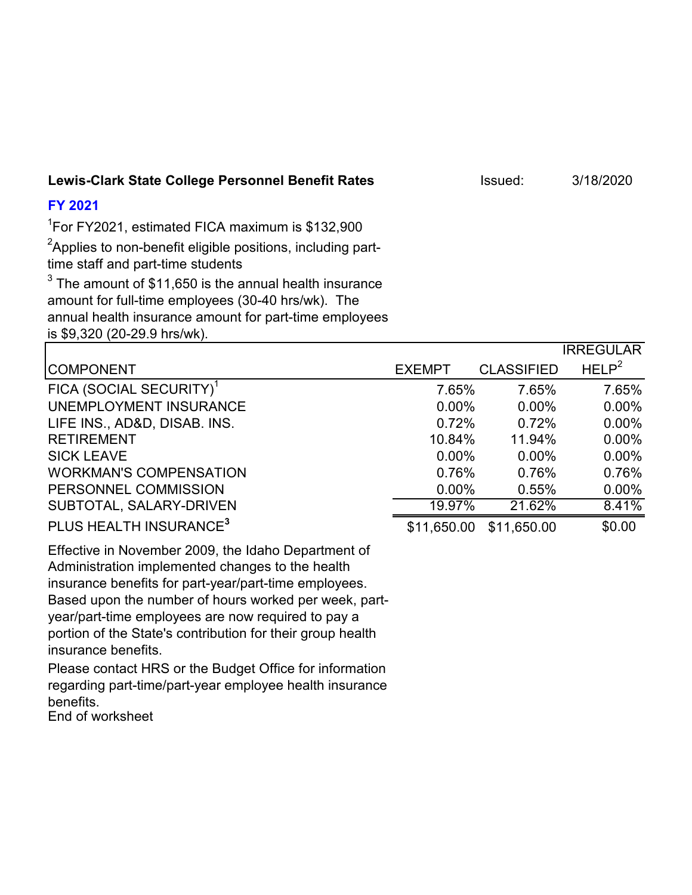### **Lewis-Clark State College Personnel Benefit Rates Issued:** 3/18/2020

## **FY 2021**

1 For FY2021, estimated FICA maximum is \$132,900

 ${\rm ^2}$ Applies to non-benefit eligible positions, including parttime staff and part-time students

 $^3$  The amount of \$11,650 is the annual health insurance amount for full-time employees (30-40 hrs/wk). The annual health insurance amount for part-time employees is \$9,320 (20-29.9 hrs/wk).

|                                     |               |                   | <b>IRREGULAR</b>  |
|-------------------------------------|---------------|-------------------|-------------------|
| <b>COMPONENT</b>                    | <b>EXEMPT</b> | <b>CLASSIFIED</b> | HELP <sup>2</sup> |
| FICA (SOCIAL SECURITY) <sup>1</sup> | 7.65%         | 7.65%             | 7.65%             |
| UNEMPLOYMENT INSURANCE              | $0.00\%$      | $0.00\%$          | $0.00\%$          |
| LIFE INS., AD&D, DISAB. INS.        | 0.72%         | 0.72%             | $0.00\%$          |
| <b>RETIREMENT</b>                   | 10.84%        | 11.94%            | $0.00\%$          |
| <b>SICK LEAVE</b>                   | $0.00\%$      | $0.00\%$          | $0.00\%$          |
| <b>WORKMAN'S COMPENSATION</b>       | 0.76%         | 0.76%             | 0.76%             |
| PERSONNEL COMMISSION                | $0.00\%$      | 0.55%             | $0.00\%$          |
| SUBTOTAL, SALARY-DRIVEN             | 19.97%        | 21.62%            | 8.41%             |
| PLUS HEALTH INSURANCE <sup>3</sup>  | \$11,650.00   | \$11,650.00       | \$0.00            |

Effective in November 2009, the Idaho Department of Administration implemented changes to the health insurance benefits for part-year/part-time employees. Based upon the number of hours worked per week, partyear/part-time employees are now required to pay a portion of the State's contribution for their group health insurance benefits.

Please contact HRS or the Budget Office for information regarding part-time/part-year employee health insurance benefits.

End of worksheet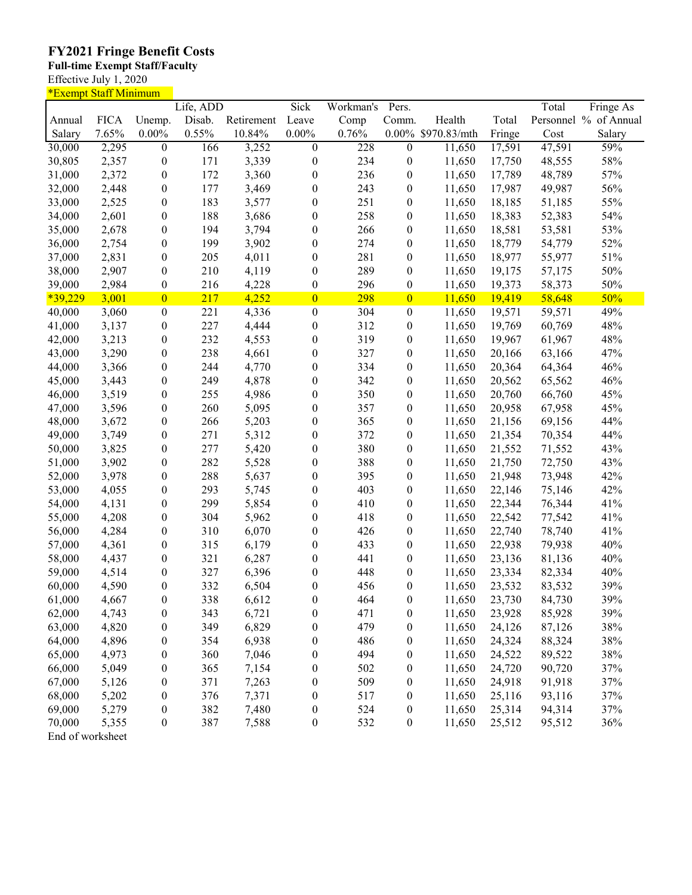### **FY2021 Fringe Benefit Costs**

#### **Full-time Exempt Staff/Faculty**

Effective July 1, 2020

| <u>*Exempt Staff Minimum</u> |             |                  |           |            |                  |           |                  |              |        |        |                       |
|------------------------------|-------------|------------------|-----------|------------|------------------|-----------|------------------|--------------|--------|--------|-----------------------|
|                              |             |                  | Life, ADD |            | Sick             | Workman's | Pers.            |              |        | Total  | Fringe As             |
| Annual                       | <b>FICA</b> | Unemp.           | Disab.    | Retirement | Leave            | Comp      | Comm.            | Health       | Total  |        | Personnel % of Annual |
| Salary                       | 7.65%       | $0.00\%$         | 0.55%     | 10.84%     | $0.00\%$         | 0.76%     | $0.00\%$         | \$970.83/mth | Fringe | Cost   | Salary                |
| 30,000                       | 2,295       | $\boldsymbol{0}$ | 166       | 3,252      | $\boldsymbol{0}$ | 228       | $\boldsymbol{0}$ | 11,650       | 17,591 | 47,591 | 59%                   |
| 30,805                       | 2,357       | $\boldsymbol{0}$ | 171       | 3,339      | $\boldsymbol{0}$ | 234       | $\boldsymbol{0}$ | 11,650       | 17,750 | 48,555 | 58%                   |
| 31,000                       | 2,372       | $\boldsymbol{0}$ | 172       | 3,360      | $\boldsymbol{0}$ | 236       | $\boldsymbol{0}$ | 11,650       | 17,789 | 48,789 | 57%                   |
| 32,000                       | 2,448       | $\boldsymbol{0}$ | 177       | 3,469      | 0                | 243       | $\boldsymbol{0}$ | 11,650       | 17,987 | 49,987 | 56%                   |
| 33,000                       | 2,525       | $\boldsymbol{0}$ | 183       | 3,577      | $\boldsymbol{0}$ | 251       | $\boldsymbol{0}$ | 11,650       | 18,185 | 51,185 | 55%                   |
| 34,000                       | 2,601       | $\boldsymbol{0}$ | 188       | 3,686      | 0                | 258       | $\boldsymbol{0}$ | 11,650       | 18,383 | 52,383 | 54%                   |
| 35,000                       | 2,678       | $\boldsymbol{0}$ | 194       | 3,794      | $\boldsymbol{0}$ | 266       | $\boldsymbol{0}$ | 11,650       | 18,581 | 53,581 | 53%                   |
| 36,000                       | 2,754       | $\boldsymbol{0}$ | 199       | 3,902      | $\boldsymbol{0}$ | 274       | $\boldsymbol{0}$ | 11,650       | 18,779 | 54,779 | 52%                   |
| 37,000                       | 2,831       | $\boldsymbol{0}$ | 205       | 4,011      | $\boldsymbol{0}$ | 281       | $\boldsymbol{0}$ | 11,650       | 18,977 | 55,977 | 51%                   |
| 38,000                       | 2,907       | $\boldsymbol{0}$ | 210       | 4,119      | $\boldsymbol{0}$ | 289       | $\boldsymbol{0}$ | 11,650       | 19,175 | 57,175 | 50%                   |
| 39,000                       | 2,984       | $\boldsymbol{0}$ | 216       | 4,228      | $\boldsymbol{0}$ | 296       | $\boldsymbol{0}$ | 11,650       | 19,373 | 58,373 | 50%                   |
| $*39,229$                    | 3,001       | $\overline{0}$   | 217       | 4,252      | $\overline{0}$   | 298       | $\overline{0}$   | 11,650       |        | 58,648 | 50%                   |
|                              |             |                  |           |            |                  |           |                  |              | 19,419 |        |                       |
| 40,000                       | 3,060       | $\boldsymbol{0}$ | 221       | 4,336      | $\boldsymbol{0}$ | 304       | $\boldsymbol{0}$ | 11,650       | 19,571 | 59,571 | 49%                   |
| 41,000                       | 3,137       | $\boldsymbol{0}$ | 227       | 4,444      | $\boldsymbol{0}$ | 312       | $\boldsymbol{0}$ | 11,650       | 19,769 | 60,769 | 48%                   |
| 42,000                       | 3,213       | $\boldsymbol{0}$ | 232       | 4,553      | $\boldsymbol{0}$ | 319       | $\boldsymbol{0}$ | 11,650       | 19,967 | 61,967 | 48%                   |
| 43,000                       | 3,290       | $\boldsymbol{0}$ | 238       | 4,661      | $\boldsymbol{0}$ | 327       | $\boldsymbol{0}$ | 11,650       | 20,166 | 63,166 | 47%                   |
| 44,000                       | 3,366       | $\boldsymbol{0}$ | 244       | 4,770      | $\boldsymbol{0}$ | 334       | $\boldsymbol{0}$ | 11,650       | 20,364 | 64,364 | 46%                   |
| 45,000                       | 3,443       | $\boldsymbol{0}$ | 249       | 4,878      | $\boldsymbol{0}$ | 342       | $\boldsymbol{0}$ | 11,650       | 20,562 | 65,562 | 46%                   |
| 46,000                       | 3,519       | $\boldsymbol{0}$ | 255       | 4,986      | 0                | 350       | $\boldsymbol{0}$ | 11,650       | 20,760 | 66,760 | 45%                   |
| 47,000                       | 3,596       | $\boldsymbol{0}$ | 260       | 5,095      | $\boldsymbol{0}$ | 357       | $\boldsymbol{0}$ | 11,650       | 20,958 | 67,958 | 45%                   |
| 48,000                       | 3,672       | $\boldsymbol{0}$ | 266       | 5,203      | $\boldsymbol{0}$ | 365       | $\boldsymbol{0}$ | 11,650       | 21,156 | 69,156 | 44%                   |
| 49,000                       | 3,749       | $\boldsymbol{0}$ | 271       | 5,312      | $\boldsymbol{0}$ | 372       | $\boldsymbol{0}$ | 11,650       | 21,354 | 70,354 | 44%                   |
| 50,000                       | 3,825       | $\boldsymbol{0}$ | 277       | 5,420      | 0                | 380       | $\boldsymbol{0}$ | 11,650       | 21,552 | 71,552 | 43%                   |
| 51,000                       | 3,902       | $\boldsymbol{0}$ | 282       | 5,528      | 0                | 388       | $\boldsymbol{0}$ | 11,650       | 21,750 | 72,750 | 43%                   |
| 52,000                       | 3,978       | $\boldsymbol{0}$ | 288       | 5,637      | 0                | 395       | $\boldsymbol{0}$ | 11,650       | 21,948 | 73,948 | 42%                   |
| 53,000                       | 4,055       | $\boldsymbol{0}$ | 293       | 5,745      | 0                | 403       | $\boldsymbol{0}$ | 11,650       | 22,146 | 75,146 | 42%                   |
| 54,000                       | 4,131       | $\boldsymbol{0}$ | 299       | 5,854      | 0                | 410       | $\boldsymbol{0}$ | 11,650       | 22,344 | 76,344 | 41%                   |
| 55,000                       | 4,208       | $\boldsymbol{0}$ | 304       | 5,962      | $\boldsymbol{0}$ | 418       | $\boldsymbol{0}$ | 11,650       | 22,542 | 77,542 | 41%                   |
| 56,000                       | 4,284       | $\boldsymbol{0}$ | 310       | 6,070      | $\boldsymbol{0}$ | 426       | $\boldsymbol{0}$ | 11,650       | 22,740 | 78,740 | 41%                   |
| 57,000                       | 4,361       | $\boldsymbol{0}$ | 315       | 6,179      | $\boldsymbol{0}$ | 433       | $\boldsymbol{0}$ | 11,650       | 22,938 | 79,938 | 40%                   |
| 58,000                       | 4,437       | $\boldsymbol{0}$ | 321       | 6,287      | $\boldsymbol{0}$ | 441       | $\boldsymbol{0}$ | 11,650       | 23,136 | 81,136 | 40%                   |
| 59,000                       | 4,514       | $\boldsymbol{0}$ | 327       | 6,396      | $\boldsymbol{0}$ | 448       | $\boldsymbol{0}$ | 11,650       | 23,334 | 82,334 | 40%                   |
| 60,000                       | 4,590       | $\boldsymbol{0}$ | 332       | 6,504      | 0                | 456       | $\boldsymbol{0}$ | 11,650       | 23,532 | 83,532 | 39%                   |
| 61,000                       | 4,667       | $\boldsymbol{0}$ | 338       | 6,612      | 0                | 464       | $\boldsymbol{0}$ | 11,650       | 23,730 | 84,730 | 39%                   |
| 62,000                       | 4,743       | $\boldsymbol{0}$ | 343       | 6,721      | 0                | 471       | $\boldsymbol{0}$ | 11,650       | 23,928 | 85,928 | 39%                   |
| 63,000                       | 4,820       | $\boldsymbol{0}$ | 349       | 6,829      | 0                | 479       | $\boldsymbol{0}$ | 11,650       | 24,126 | 87,126 | 38%                   |
| 64,000                       | 4,896       | $\boldsymbol{0}$ | 354       | 6,938      | 0                | 486       | $\boldsymbol{0}$ | 11,650       | 24,324 | 88,324 | 38%                   |
| 65,000                       | 4,973       |                  | 360       | 7,046      | $\boldsymbol{0}$ | 494       | $\boldsymbol{0}$ | 11,650       | 24,522 | 89,522 | 38%                   |
|                              |             | $\boldsymbol{0}$ |           |            |                  |           |                  |              |        |        |                       |
| 66,000                       | 5,049       | $\boldsymbol{0}$ | 365       | 7,154      | 0                | 502       | $\boldsymbol{0}$ | 11,650       | 24,720 | 90,720 | 37%                   |
| 67,000                       | 5,126       | $\boldsymbol{0}$ | 371       | 7,263      | 0                | 509       | $\boldsymbol{0}$ | 11,650       | 24,918 | 91,918 | 37%                   |
| 68,000                       | 5,202       | $\boldsymbol{0}$ | 376       | 7,371      | 0                | 517       | $\boldsymbol{0}$ | 11,650       | 25,116 | 93,116 | 37%                   |
| 69,000                       | 5,279       | $\boldsymbol{0}$ | 382       | 7,480      | 0                | 524       | $\boldsymbol{0}$ | 11,650       | 25,314 | 94,314 | 37%                   |
| 70,000                       | 5,355       | $\boldsymbol{0}$ | 387       | 7,588      | $\boldsymbol{0}$ | 532       | $\boldsymbol{0}$ | 11,650       | 25,512 | 95,512 | 36%                   |
| End of worksheet             |             |                  |           |            |                  |           |                  |              |        |        |                       |